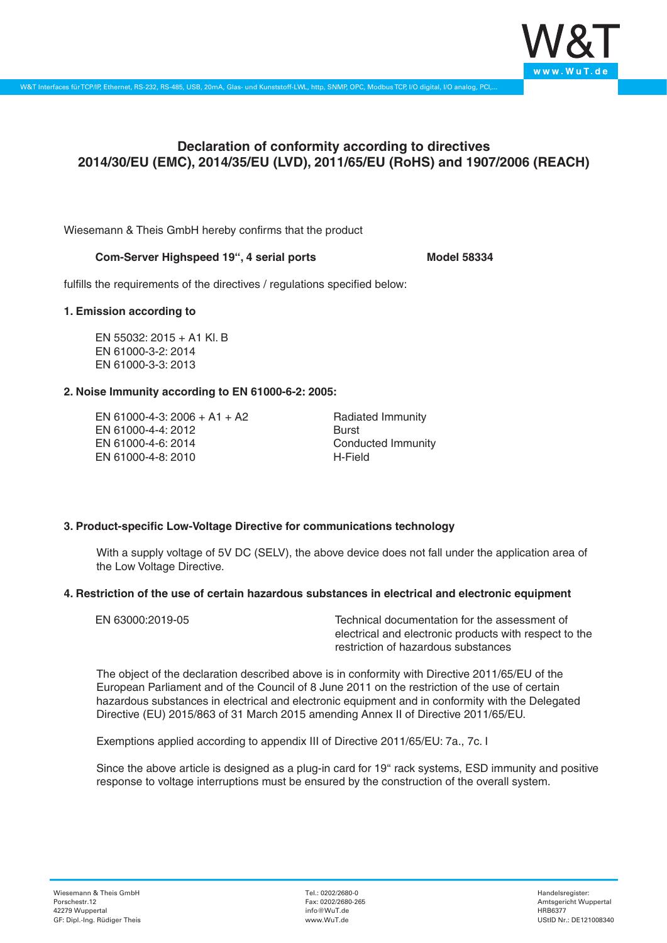

# **Declaration of conformity according to directives 2014/30/EU (EMC), 2014/35/EU (LVD), 2011/65/EU (RoHS) and 1907/2006 (REACH)**

Wiesemann & Theis GmbH hereby confirms that the product

#### **Com-Server Highspeed 19'', 4 serial ports Model 58334**

fulfills the requirements of the directives / regulations specified below:

#### **1. Emission according to**

EN 55032: 2015 + A1 Kl. B EN 61000-3-2: 2014 EN 61000-3-3: 2013

## **2. Noise Immunity according to EN 61000-6-2: 2005:**

EN 61000-4-3: 2006 + A1 + A2 EN 61000-4-4: 2012 EN 61000-4-6: 2014 EN 61000-4-8: 2010

Radiated Immunity Burst Conducted Immunity H-Field

## **3. Product-specific Low-Voltage Directive for communications technology**

With a supply voltage of 5V DC (SELV), the above device does not fall under the application area of the Low Voltage Directive.

## **4. Restriction of the use of certain hazardous substances in electrical and electronic equipment**

| EN 63000:2019-05 | Technical documentation for the assessment of          |
|------------------|--------------------------------------------------------|
|                  | electrical and electronic products with respect to the |
|                  | restriction of hazardous substances                    |

The object of the declaration described above is in conformity with Directive 2011/65/EU of the European Parliament and of the Council of 8 June 2011 on the restriction of the use of certain hazardous substances in electrical and electronic equipment and in conformity with the Delegated Directive (EU) 2015/863 of 31 March 2015 amending Annex II of Directive 2011/65/EU.

Exemptions applied according to appendix III of Directive 2011/65/EU: 7a., 7c. I

Since the above article is designed as a plug-in card for 19" rack systems, ESD immunity and positive response to voltage interruptions must be ensured by the construction of the overall system.